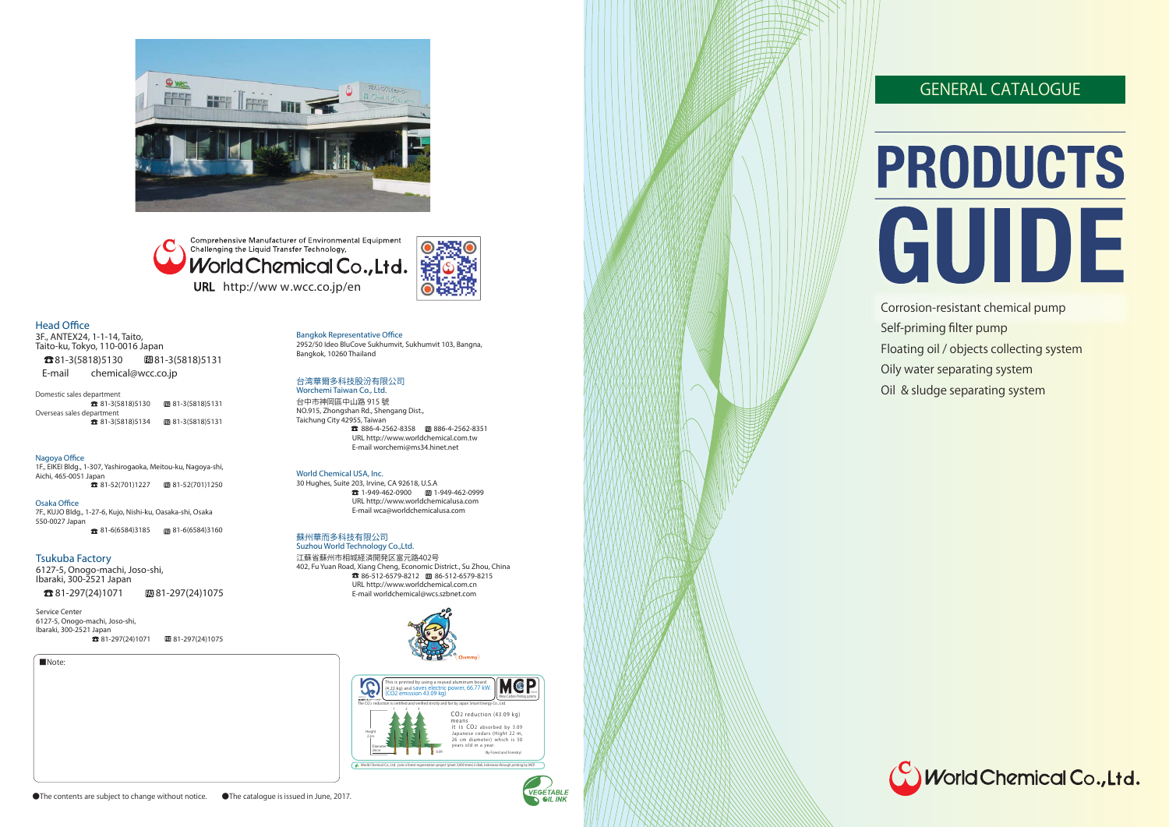

Comprehensive Manufacturer of Environmental Equipment Challenging the Liquid Transfer Technology, World Chemical Co., Ltd. URL http://ww w.wcc.co.jp/en



■Note:

#### **Head Office**

Domestic sales department **23** 81-3(5818)5130 **81-3(5818)5131** Overseas sales department **23** 81-3(5818)5134 **81-3(5818)5131** 

3F., ANTEX24, 1-1-14, Taito, Taito-ku, Tokyo, 110-0016 Japan **23**81-3(5818)5130 **81-3(5818)5131 E-mail** chemical@wcc.co.jp

1F., EIKEI Bldg., 1-307, Yashirogaoka, Meitou-ku, Nagoya-shi, Aichi, 465-0051 Japan  $\overline{3}$  81-52(701)1227  $\overline{3}$  81-52(701)1250

**Osaka Office** 7F., KUJO Bldg., 1-27-6, Kujo, Nishi-ku, Oasaka-shi, Osaka 550-0027 Japan **81-6(6584)3185** 81-6(6584)3160

#### **Nagoya Office**

#### **Bangkok Representative Office**

2952/50 Ideo BluCove Sukhumvit, Sukhumvit 103, Bangna, Bangkok, 10260 Thailand

#### 台湾華爾多科技股汾有限公司

**Service Center** 6127-5, Onogo-machi, Joso-shi, Ibaraki, 300-2521 Japan  $281-297(24)1071$   $297(24)1075$  **Worchemi Taiwan Co., Ltd.** 台中市神岡區中山路 915 號 NO.915, Zhongshan Rd., Shengang Dist., Taichung City 42955, Taiwan 886-4-2562-8358 886-4-2562-8351  **URL** http://www.worldchemical.com.tw  **E-mail** worchemi@ms34.hinet.net

#### **World Chemical USA, Inc.**

30 Hughes, Suite 203, Irvine, CA 92618, U.S.A 1-949-462-0900 1-949-462-0999 **URL** http://www.worldchemicalusa.com **E-mail** wca@worldchemicalusa.com

#### 蘇州華而多科技有限公司

 **Suzhou World Technology Co.,Ltd.** 江蘇省蘇州市相城経済開発区富元路402号 402, Fu Yuan Road, Xiang Cheng, Economic District., Su Zhou, China 86-512-6579-8212 86-512-6579-8215 **URL** http://www.worldchemical.com.cn **E-mail** worldchemical@wcs.szbnet.com

#### **Tsukuba Factory**

6127-5, Onogo-machi, Joso-shi, Ibaraki, 300-2521 Japan

**13**81-297(24)1071 **8181-297(24)1075** 







## GENERAL CATALOGUE

# PRODUCTS GUIDE

- Corrosion-resistant chemical pump
- Self-priming filter pump
- Floating oil / objects collecting system
- Oily water separating system
- Oil & sludge separating system

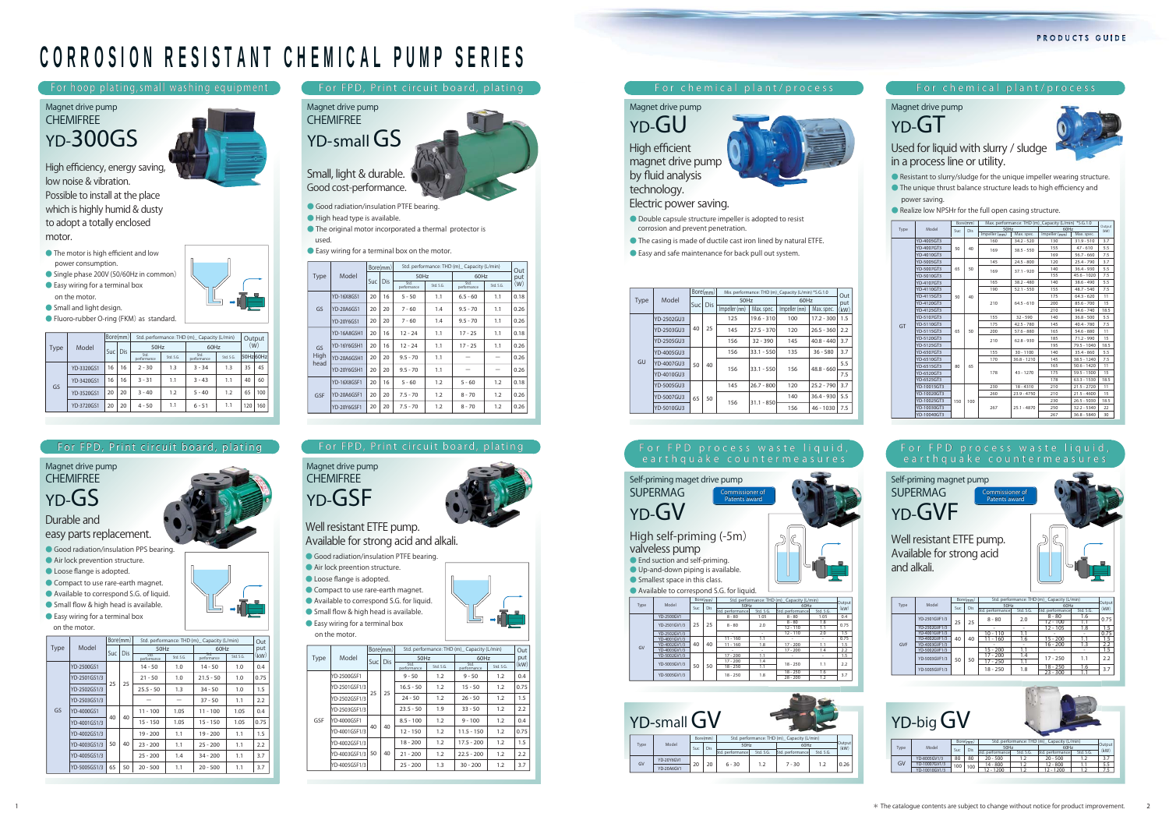|      |                          |     | Bore(mm) |               |               | Max. performance: THD (m) Capacity (L/min) *S.G.1.0 | Output        |      |
|------|--------------------------|-----|----------|---------------|---------------|-----------------------------------------------------|---------------|------|
| Type | Model                    | Suc | Dis      | 50Hz          |               | 60Hz                                                |               | (kW) |
|      |                          |     |          | Impeller (mm) | Max. spec.    | Impeller (mm)                                       | Max. spec.    |      |
|      | YD-4005GT3               |     |          | 160           | $34.2 - 520$  | 130                                                 | $31.9 - 510$  | 3.7  |
|      | YD-4007GT3               | 50  | 40       | 169           | $38.5 - 550$  | 155                                                 | $47 - 610$    | 5.5  |
|      | YD-4010GT3               |     |          |               |               | 169                                                 | $56.7 - 660$  | 7.5  |
|      | YD-5005GT3               |     |          | 145           | $24.5 - 800$  | 120                                                 | $25.4 - 790$  | 3.7  |
|      | YD-5007GT3               | 65  | 50       | 169           | $37.1 - 920$  | 140                                                 | $36.4 - 930$  | 5.5  |
|      | YD-5010GT3               |     |          |               |               | 155                                                 | $45.6 - 1020$ | 7.5  |
|      | YD-4107GT3<br>YD-4110GT3 |     | 40       | 165           | $38.2 - 480$  | 140                                                 | $38.6 - 490$  | 5.5  |
|      |                          | 50  |          | 190           | $52.1 - 550$  | 155                                                 | $48.7 - 540$  | 7.5  |
|      | YD-4115GT3               |     |          | 210           | $64.5 - 610$  | 175                                                 | $64.3 - 620$  | 11   |
|      | YD-4120GT3               |     |          |               |               | 200                                                 | $85.6 - 700$  | 15   |
|      | YD-4125GT3               |     |          |               |               | 210                                                 | $94.6 - 740$  | 18.5 |
|      | YD-5107GT3               |     | 50       | 155           | $32 - 590$    | 140                                                 | $36.8 - 500$  | 5.5  |
| GT   | YD-5110GT3               |     |          | 175           | $42.5 - 780$  | 145                                                 | $40.4 - 780$  | 7.5  |
|      | YD-5115GT3               | 65  |          | 200           | $57.6 - 880$  | 165                                                 | $54.6 - 880$  | 11   |
|      | YD-5120GT3               |     |          | 210           | $62.8 - 930$  | 185                                                 | $71.2 - 990$  | 15   |
|      | YD-5125GT3               |     |          |               |               | 195                                                 | 79.5 - 1040   | 18.5 |
|      | YD-6507GT3               |     |          | 155           | $30 - 1100$   | 140                                                 | $35.4 - 860$  | 5.5  |
|      | YD-6510GT3               |     |          | 170           | $36.8 - 1210$ | 145                                                 | $38.5 - 1240$ | 7.5  |
|      | YD-6515GT3               | 80  | 65       |               |               | 165                                                 | $50.6 - 1420$ | 11   |
|      | YD-6520GT3               |     |          | 178           | $43 - 1270$   | 175                                                 | $59.5 - 1500$ | 15   |
|      | YD-6525GT3               |     |          |               |               | 178                                                 | $63.3 - 1530$ | 18.5 |
|      | YD-10015GT3              |     |          | 230           | $18 - 4310$   | 210                                                 | $21.5 - 2720$ | 11   |
|      | YD-10020GT3              | 150 |          | 260           | $23.9 - 4750$ | 210                                                 | $21.5 - 4600$ | 15   |
|      | YD-10025GT3              |     | 100      |               |               | 230                                                 | $26.5 - 5030$ | 18.5 |
|      | YD-10030GT3              |     |          | 267           | $25.1 - 4870$ | 250                                                 | $32.2 - 5340$ | 22   |
|      | YD-10040GT3              |     |          |               |               | 267                                                 | $36.8 - 5840$ | 30   |



## **CORROSION RESISTANT CHEMICAL PUMP SERIES**

- **The motor is high efficient and low power consumption.**
- **Single phase 200V (50/60Hz in common) ● Easy wiring for a terminal box**
- **on the motor.**
- **Small and light design.**
- **Fluoro-rubber O-ring (FKM) as standard.**

#### **Electric power saving.**





- **Double capsule structure impeller is adopted to resist corrosion and prevent penetration.**
- **The casing is made of ductile cast iron lined by natural ETFE.**
- **Easy and safe maintenance for back pull out system.**

**Magnet drive pump**

**Small, light & durable. Good cost-performance.**

- **Good radiation/insulation PTFE bearing.**
- **High head type is available.**
- **The original motor incorporated a thermal protector is**
- **used.**



**● Easy wiring for a terminal box on the motor.** 

**For chemical plant/process**

**Used for liquid with slurry / sludge in a process line or utility.**

**● Resistant to slurry/sludge for the unique impeller wearing structure. ● The unique thrust balance structure leads to high efficiency and** 

 **power saving.**

**● Realize low NPSHr for the full open casing structure.**

#### **Magnet drive pump**





#### **For FPD process waste liquid, earthquake countermeasures**

**Well resistant ETFE pump. Available for strong acid and alkali.**

**Self-priming magnet pump SUPERMAG**



**Patents award**



**Patents award**

#### **For hoop plating,small washing equipment**

**High efficiency, energy saving, low noise & vibration. Possible to install at the place which is highly humid & dusty to adopt a totally enclosed motor.**

### **Magnet drive pump CHEMIFREEYD-300GS**

|      | Model      | Bore(mm) |     | Std. performance: THD (m) Capacity (L/min) |           | Output              |           |     |          |
|------|------------|----------|-----|--------------------------------------------|-----------|---------------------|-----------|-----|----------|
| Type |            | Suc      | Dis | 50Hz                                       |           | 60Hz                | (W)       |     |          |
|      |            |          |     | Std.<br>performance                        | Std. S.G. | Std.<br>performance | Std. S.G. |     | 50Hz60Hz |
|      | YD-3320GS1 | 16       | 16  | $2 - 30$                                   | 1.3       | $3 - 34$            | 1.3       | 35  | 45       |
|      | YD-3420GS1 | 16       | 16  | $3 - 31$                                   | 1.1       | $3 - 43$            | 1.1       | 40  | 60       |
| GS   | YD-3520GS1 | 20       | 20  | $3 - 40$                                   | 1.2       | $5 - 40$            | 1.2       | 65  | 100      |
|      | YD-3720GS1 | 20       | 20  | $4 - 50$                                   | 1.1       | $6 - 51$            | 1.1       | 120 | 160      |

|      |            |      | Bore(mm) |               |              | Mix. performance: THD (m) Capacity (L/min) *S.G.1.0 |              | Out  |
|------|------------|------|----------|---------------|--------------|-----------------------------------------------------|--------------|------|
| Type | Model      | Sucl | Dis      | 50Hz          |              | 60Hz                                                | put          |      |
|      |            |      |          | Impeller (mm) | Max. spec.   | Impeller (mm)                                       | Max. spec.   | (kW) |
|      | YD-2502GU3 |      | 25       | 125           | $19.6 - 310$ | 100                                                 | $17.2 - 300$ | 1.5  |
|      | YD-2503GU3 | 40   |          | 145           | $27.5 - 370$ | 120                                                 | $26.5 - 360$ | 2.2  |
|      | YD-2505GU3 |      |          | 156           | $32 - 390$   | 145                                                 | $40.8 - 440$ | 3.7  |
|      | YD-4005GU3 | 50   | 40       | 156           | $33.1 - 550$ | 135                                                 | $36 - 580$   | 3.7  |
| GU   | YD-4007GU3 |      |          | 156           | $33.1 - 550$ | 156                                                 | $48.8 - 660$ | 5.5  |
|      | YD-4010GU3 |      |          |               |              |                                                     |              | 7.5  |
|      | YD-5005GU3 | 65   |          | 145           | $26.7 - 800$ | 120                                                 | $25.2 - 790$ | 3.7  |
|      | YD-5007GU3 |      | 50       | 156           | $31.1 - 850$ | 140                                                 | $36.4 - 930$ | 5.5  |
|      | YD-5010GU3 |      |          |               |              | 156                                                 | $46 - 1030$  | 7.5  |

#### **For FPD process waste liquid, High self-priming (-5m) valveless pump ● End suction and self-priming. ● Up-and-down piping is available. ● Smallest space in this class. ● Available to correspond S.G. for liquid. Self-priming maget drive pump SUPERMAGYD-GVCommissioner of Patents award Patents award YD-2500GV1 YD-2502GV1/3YD-4001GV1/3YD-4002GV1/3YD-4003GV YD-5002GV1/3YD-2501GV1/3YD-5003GV1/3YD-5005GV1/3**25 1 25 40 40 50 508 - 80 8 - 80 18 - 25011 - 16011 - 16017 - 20017 - 20018 - 2501.05 8 - 80 8 - 8012 - 11012 - 11017 - 20017 - 20018 - 25018 - 25028 - 2001.051.81.12.01.11.41.1 2.2 3.7 $\frac{1.6}{1.2}$  3. 2.01.81.11.81.11.41.10.40.751.50.751.52.21.5**GVStd. performance Std. S.G. Std. S.G. Std. performance Type** Model **Computer Computer SOHz** 60Hz Output **(kW)**Model Suc Dis 50Hz 60Hz<br>KW Suc Dis Etd performance Fed S.C. Fed performance Std S.C. KW **Bore(mm)50Hz 60Hz Suc Dis Std. performance: THD (m)\_ Capacity (L/min)**









|            |                     |     | Bore(mm) | Std. performance: THD (m) Capacity (L/min) |           |                  |                |      |  |
|------------|---------------------|-----|----------|--------------------------------------------|-----------|------------------|----------------|------|--|
| Type       | Model               | Suc | Dis      | 50Hz                                       |           | 60Hz             | Output<br>(kW) |      |  |
|            |                     |     |          | Std. performance                           | Std. S.G. | Std. performance | Std. S.G.      |      |  |
|            | YD-2501GVF1/3       |     |          | $8 - 80$                                   | 2.0       | $8 - 80$         | 1.6            | 0.75 |  |
|            |                     | 25  | 25       |                                            |           | $12 - 100$       | 1.1            |      |  |
|            | YD-2502GVF1/3       |     |          |                                            |           | $12 - 105$       | 1.8            | 1.5  |  |
|            | YD-4001GVF1/3       |     |          | $10 - 110$                                 | 1.1       |                  | ۰              | 0.75 |  |
|            | YD-4002GVF1/3       | 40  | 40       | 11 - 160                                   | 1.6       | $15 - 200$       | 1.1            | 1.5  |  |
| <b>GVF</b> | YD-4003GVF1/3       |     |          |                                            |           | $16 - 200$       | 1.3            | 2.2  |  |
|            | YD-5002GVF1/3       |     |          | $15 - 200$                                 | 1.1       |                  |                | 1.5  |  |
|            |                     |     |          | $17 - 200$                                 | 1.4       | $17 - 250$       | 1.1            | 2.2  |  |
|            | YD-5003GVF1/3<br>50 |     | 50       | $17 - 250$                                 | 1.1       |                  |                |      |  |
|            |                     |     |          | $18 - 250$                                 | 1.8       | $18 - 250$       | 1.6            | 3.7  |  |
|            | YD-5005GVF1/3       |     |          |                                            |           | $23 - 300$       | 1.1            |      |  |

**Available for strong acid and alkali.**

- **Good radiation/insulation PTFE bearing.**
- **Air lock preention structure.**
- **Loose flange is adopted.**
- **Compact to use rare-earth magnet.**
- **Available to correspond S.G. for liquid.**
- **Small flow & high head is available.**
- **● Easy wiring for a terminal box**

|      | on the motor. |    |          |                     |                                            |                     |           |      |  |
|------|---------------|----|----------|---------------------|--------------------------------------------|---------------------|-----------|------|--|
|      |               |    | Bore(mm) |                     | Std. performance: THD (m) Capacity (L/min) |                     |           |      |  |
| Type | Model         |    | Suc Dis  |                     | 50Hz                                       |                     | 60Hz      | put  |  |
|      |               |    |          | Std.<br>performance | Std. S.G.                                  | Std.<br>performance | Std. S.G. | (kW) |  |
|      | YD-2500GSF1   |    |          | 9 - 50              | 1.2                                        | 9 - 50              | 1.2       | 0.4  |  |
|      | YD-2501GSF1/3 | 25 | 25       | $16.5 - 50$         | 1.2                                        | $15 - 50$           | 1.2       | 0.75 |  |
|      | YD-2502GSF1/3 |    |          | $24 - 50$           | 1.2                                        | $26 - 50$           | 1.2       | 1.5  |  |
|      | YD-2503GSF1/3 |    |          | $23.5 - 50$         | 1.9                                        | $33 - 50$           | 1.2       | 2.2  |  |
| GSF  | YD-4000GSF1   |    |          | $8.5 - 100$         | 1.2                                        | $9 - 100$           | 1.2       | 0.4  |  |
|      | YD-4001GSF1/3 | 40 | 40       | $12 - 150$          | 1.2                                        | $11.5 - 150$        | 1.2       | 0.75 |  |
|      | YD-4002GSF1/3 |    |          | $18 - 200$          | 1.2                                        | $17.5 - 200$        | 1.2       | 1.5  |  |
|      | YD-4003GSF1/3 | 50 | 40       | $21 - 200$          | 1.2                                        | $22.5 - 200$        | 1.2       | 2.2  |  |
|      | YD-4005GSF1/3 |    |          | $25 - 200$          | 1.3                                        | $30 - 200$          | 1.2       | 3.7  |  |

|              |                    |      | Bore(mm)   | Std. performance: THD (m)_ Capacity (L/min) |           |                     |            |      |
|--------------|--------------------|------|------------|---------------------------------------------|-----------|---------------------|------------|------|
| Type         | Model              |      | <b>Dis</b> | 50Hz                                        |           | 60Hz                | Out<br>put |      |
|              |                    | Suc. |            | Std.<br>performance                         | Std. S.G. | Std.<br>performance | Std. S.G.  | (W)  |
|              | YD-16X8GS1         | 20   | 16         | $5 - 50$                                    | 1.1       | $6.5 - 60$          | 1.1        | 0.18 |
| GS           | YD-20A6GS1         | 20   | 20         | $7 - 60$                                    | 1.4       | $9.5 - 70$          | 1.1        | 0.26 |
|              | YD-20Y6GS1         | 20   | 20         | $7 - 60$                                    | 1.4       | $9.5 - 70$          | 1.1        | 0.26 |
|              | <b>YD-16A8GSH1</b> | 20   | 16         | $12 - 24$                                   | 1.1       | $17 - 25$           | 1.1        | 0.18 |
| GS           | YD-16Y6GSH1        | 20   | 16         | $12 - 24$                                   | 1.1       | $17 - 25$           | 1.1        | 0.26 |
| High<br>head | YD-20A6GSH1        | 20   | 20         | $9.5 - 70$                                  | 1.1       |                     |            | 0.26 |
|              | <b>YD-20Y6GSH1</b> | 20   | 20         | $9.5 - 70$                                  | 1.1       |                     |            | 0.26 |
|              | YD-16X8GSF1        | 20   | 16         | $5 - 60$                                    | 1.2       | $5 - 60$            | 1.2        | 0.18 |
| GSF          | YD-20A6GSF1        | 20   | 20         | $7.5 - 70$                                  | 1.2       | $8 - 70$            | 1.2        | 0.26 |
|              | YD-20Y6GSF1        | 20   | 20         | $7.5 - 70$                                  | 1.2       | $8 - 70$            | 1.2        | 0.26 |

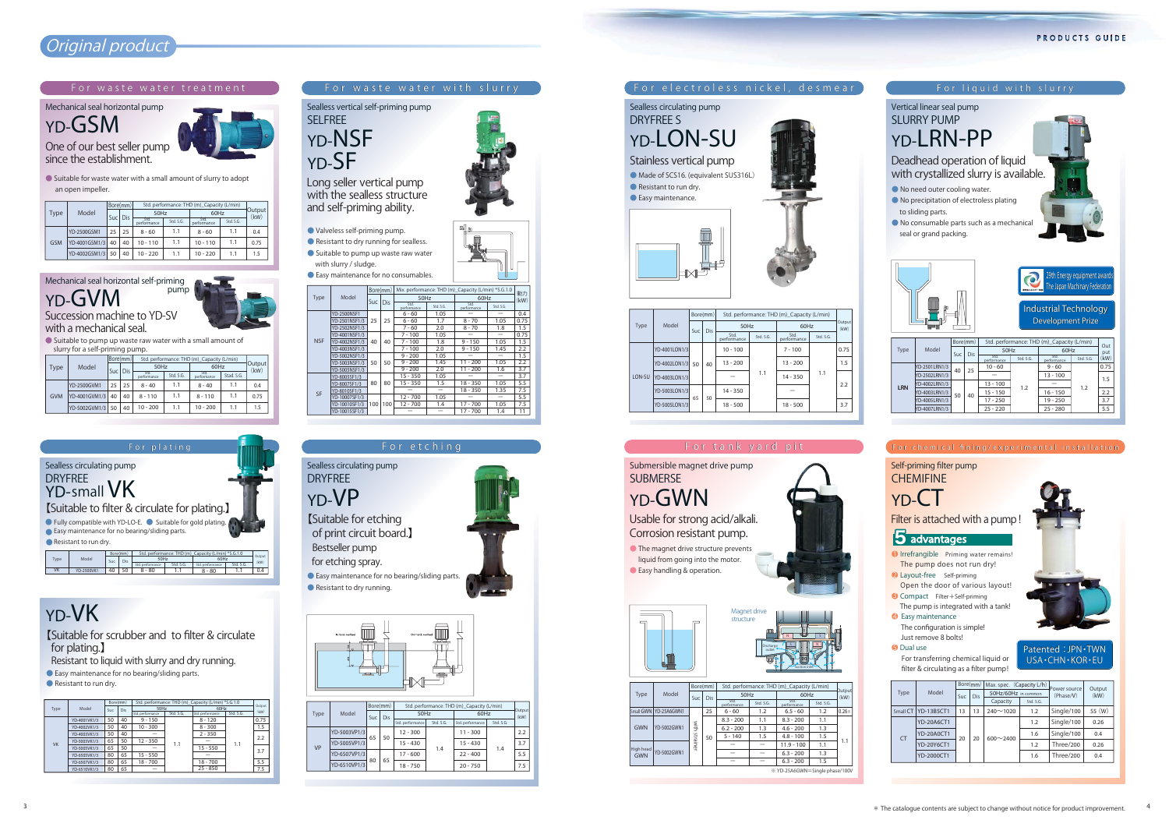## **Original product**

**For electroless nickel, desmear For waste water with slurry For liquid with slurry**

**Sealless circulating pump**

**DRYFREE S**

#### PRODUCTS GUIDE

**YD-LON-SU**

**SELFREE**

**YD-SF**

## **YD-VK**

**【Suitable for scrubber and to filter & circulate for plating.】**

**Resistant to liquid with slurry and dry running.**



**● Easy maintenance for no bearing/sliding parts.**

**● Resistant to run dry.**

**Stainless vertical pump ● Made of SCS16. (equivalent SUS316L)**

**● Resistant to run dry. ● Easy maintenance.**

## **and self-priming ability.**

**● Valveless self-priming pump.**

- **● Resistant to dry running for sealless.**
- **● Suitable to pump up waste raw water with slurry / sludge.**
- **● Easy maintenance for no consumables.**



**Filter is attached with a pump!**

#### 5 advantages

**●1 Irrefrangible Priming water remains! The pump does not run dry!**

#### **pump Mechanical seal horizontal self-priming YD-GVM**

- **●2 Layout-free Self-priming**
- **Open the door of various layout! ●3 Compact Filter+Self-priming**

 **The pump is integrated with a tank! ●4 Easy maintenance** 

 **The configuration is simple! Just remove 8 bolts!**

**●5 Dual use** 

 **For transferring chemical liquid or filter & circulating as a filter pump!**



#### **For chemical fining/experimental installation**

#### **Self-priming filter pump CHEMIFINE**

## **YD-CT**

**Succession machine to YD-SV**

**with a mechanical seal.**



**● Suitable to pump up waste raw water with a small amount of slurry for a self-priming pump.**

#### **For waste water treatment**

**One of our best seller pump since the establishment.** 

**● Suitable for waste water with a small amount of slurry to adopt an open impeller.**

**Mechanical seal horizontal pump**

**YD-GSM**





#### **Patented:JPN・TWN USA・CHN・KOR・EU**

**YD-6510VP1/3**

80

65

|           |                   |     | Bore(mm) | Max. spec. (Capacity L/h) |           | Power source | Output |
|-----------|-------------------|-----|----------|---------------------------|-----------|--------------|--------|
| Type      | Model             | Suc | Dis      | 50Hz/60Hz in common       |           | (Phase/V)    | (kW)   |
|           |                   |     |          | Capacity                  | Std. S.G. |              |        |
| Small CT  | <b>YD-13B5CT1</b> | 13  | 13       | $240^{\sim}1020$          | 1.2       | Single/100   | 55 (W) |
|           | YD-20A6CT1        | 20  | 20       |                           | 1.2       | Single/100   | 0.26   |
|           | <b>YD-20A0CT1</b> |     |          | $600 - 2400$              | 1.6       | Single/100   | 0.4    |
| <b>CT</b> | YD-20Y6CT1        |     |          |                           | 1.2       | Three/200    | 0.26   |
|           | YD-2000CT1        |     |          |                           | 1.6       | Three/200    | 0.4    |



|            |               |    | Bore(mm) | Std. performance: THD (m) Capacity (L/min) |           |                     |           |                |
|------------|---------------|----|----------|--------------------------------------------|-----------|---------------------|-----------|----------------|
| Type       | Model         |    | Sucl Dis | 50Hz                                       |           | 60Hz                |           | Output<br>(kw) |
|            |               |    |          | Std.<br>performance                        | Std. S.G. | Std.<br>performance | Std. S.G. |                |
|            | YD-2500GSM1   | 25 | 25       | $8 - 60$                                   | 1.1       | $8 - 60$            | 1.1       | 0.4            |
| <b>GSM</b> | YD-4001GSM1/3 | 40 | 40       | $10 - 110$                                 | 1.1       | $10 - 110$          | 1.1       | 0.75           |
|            | YD-4002GSM1/3 | 50 | 40       | $10 - 220$                                 | 1.1       | $10 - 220$          | 1.1       | 1.5            |

7.5

18 - 750

20 - 750







|            | Model         |    | Bore(mm) | Std. performance: THD (m) Capacity (L/min) |           | Output              |            |      |
|------------|---------------|----|----------|--------------------------------------------|-----------|---------------------|------------|------|
| Type       |               |    | Suc Dis  | 50Hz                                       |           |                     | 60Hz       |      |
|            |               |    |          | Std.<br>performance                        | Std. S.G. | Std.<br>performance | Stad, S.G. | (kW) |
|            | YD-2500GVM1   | 25 | 25       | $8 - 40$                                   | 1.1       | $8 - 40$            | 1.1        | 0.4  |
| <b>GVM</b> | YD-4001GVM1/3 | 40 | 40       | $8 - 110$                                  | 1.1       | $8 - 110$           | 1.1        | 0.75 |
|            | YD-5002GVM1/3 | 50 | 40       | $10 - 200$                                 | 1.1       | $10 - 200$          | 1.1        | 1.5  |

|        |               |     | Bore(mm)   |                     |           | Std. performance: THD (m)_Capacity (L/min) |           |                |
|--------|---------------|-----|------------|---------------------|-----------|--------------------------------------------|-----------|----------------|
| Type   | Model         |     |            | 50Hz                |           | 60Hz                                       |           | Output<br>(kW) |
|        |               | Suc | <b>Dis</b> | Std.<br>performance | Std. S.G. | Std.<br>performance                        | Std. S.G. |                |
|        | YD-4001LON1/3 |     | 40         | $10 - 100$          | 1.1       | $7 - 100$                                  | 1.1       | 0.75           |
|        | YD-4002LON1/3 | 50  |            | $13 - 200$          |           | $13 - 200$                                 |           | 1.5            |
| LON-SU | YD-4003LON1/3 |     |            |                     |           | $14 - 350$                                 |           |                |
|        | YD-5003LON1/3 |     |            | $14 - 350$          |           |                                            |           | 2.2            |
|        | YD-5005LON1/3 | 65  | 50         | $18 - 500$          |           | $18 - 500$                                 |           | 3.7            |

|            |               | Bore(mm) |     | Std. performance: THD (m)_Capacity (L/min) |           |                     |           |            |
|------------|---------------|----------|-----|--------------------------------------------|-----------|---------------------|-----------|------------|
| Type       | Model         | Suc      | Dis | 50Hz                                       |           | 60Hz                |           | Out<br>put |
|            |               |          |     | Std.<br>performance                        | Std. S.G. | Std.<br>performance | Std. S.G. | (kW)       |
|            | YD-2501LRN1/3 | 40       | 25  | $10 - 60$                                  | 1.2       | $9 - 60$            | 1.2       | 0.75       |
|            | YD-2502LRN1/3 |          |     |                                            |           | $13 - 100$          |           | 1.5        |
| <b>LRN</b> | YD-4002LRN1/3 | 50       |     | $13 - 100$                                 |           |                     |           |            |
|            | YD-4003LRN1/3 |          | 40  | $15 - 150$                                 |           | $16 - 150$          |           | 2.2        |
|            | YD-4005LRN1/3 |          |     | $17 - 250$                                 |           | $19 - 250$          |           | 3.7        |
|            | YD-4007LRN1/3 |          |     | $25 - 220$                                 |           | $25 - 280$          |           | 5.5        |

|             |                    | Bore(mm) |     |                     |           | Mix. performance: THD (m)_Capacity (L/min) *S.G.1.0 |                          | 動力   |
|-------------|--------------------|----------|-----|---------------------|-----------|-----------------------------------------------------|--------------------------|------|
| <b>Type</b> | Model              |          | Dis | 50Hz                |           | 60Hz                                                | (kW)                     |      |
|             |                    | Suc      |     | Std.<br>performance | Std. S.G. | Std.<br>performance                                 | Std. S.G.                |      |
|             | <b>YD-2500NSF1</b> |          |     | $6 - 60$            | 1.05      |                                                     |                          | 0.4  |
|             | YD-2501NSF1/3      | 25       | 25  | $6 - 60$            | 1.7       | $8 - 70$                                            | 1.05                     | 0.75 |
|             | YD-2502NSF1/3      |          |     | 7 - 60              | 2.0       | $8 - 70$                                            | 1.8                      | 1.5  |
|             | YD-4001NSF1/3      |          |     | $7 - 100$           | 1.05      |                                                     | $\overline{\phantom{0}}$ | 0.75 |
| <b>NSF</b>  | YD-4002NSF1/3      | 40       | 40  | $7 - 100$           | 1.8       | $9 - 150$                                           | 1.05                     | 1.5  |
|             | YD-4003NSF1/3      |          |     | $7 - 100$           | 2.0       | $9 - 150$                                           | 1.45                     | 2.2  |
|             | YD-5002NSF1/3      | 50       | 50  | $9 - 200$           | 1.05      |                                                     |                          | 1.5  |
|             | YD-5003NSF1/3      |          |     | $9 - 200$           | 1.45      | $11 - 200$                                          | 1.05                     | 2.2  |
|             | YD-5005NSF1/3      |          |     | $9 - 200$           | 2.0       | $11 - 200$                                          | 1.6                      | 3.7  |
|             | YD-8005SF1/3       |          |     | 15 - 350            | 1.05      |                                                     |                          | 3.7  |
|             | YD-8007SF1/3       | 80       | 80  | $15 - 350$          | 1.5       | $18 - 350$                                          | 1.05                     | 5.5  |
|             | YD-8010SF1/3       |          |     |                     | -         | $18 - 350$                                          | 1.35                     | 7.5  |
| <b>SF</b>   | YD-10007SF1/3      | 100      |     | $12 - 700$          | 1.05      |                                                     |                          | 5.5  |
|             | YD-10010SF1/3      |          | 100 | $12 - 700$          | 1.4       | $17 - 700$                                          | 1.05                     | 7.5  |
|             | YD-10015SF1/3      |          |     |                     |           | $17 - 700$                                          | 1.4                      | 11   |